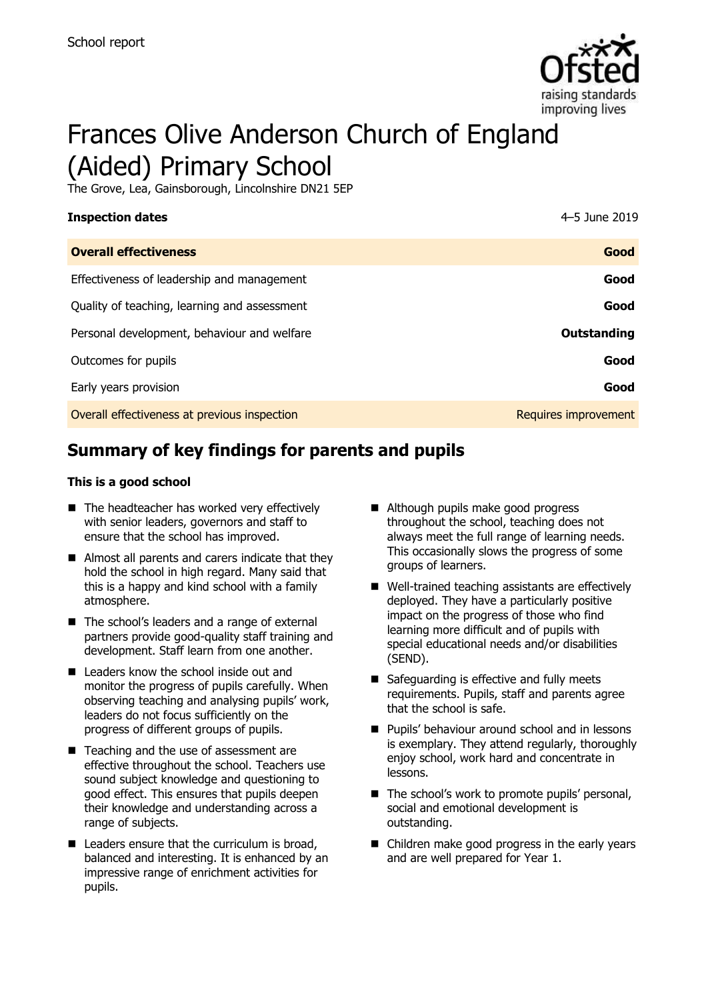

# Frances Olive Anderson Church of England (Aided) Primary School

The Grove, Lea, Gainsborough, Lincolnshire DN21 5EP

| <b>Inspection dates</b>                      | 4-5 June 2019        |
|----------------------------------------------|----------------------|
| <b>Overall effectiveness</b>                 | Good                 |
| Effectiveness of leadership and management   | Good                 |
| Quality of teaching, learning and assessment | Good                 |
| Personal development, behaviour and welfare  | Outstanding          |
| Outcomes for pupils                          | Good                 |
| Early years provision                        | Good                 |
| Overall effectiveness at previous inspection | Requires improvement |

# **Summary of key findings for parents and pupils**

### **This is a good school**

- $\blacksquare$  The headteacher has worked very effectively with senior leaders, governors and staff to ensure that the school has improved.
- Almost all parents and carers indicate that they hold the school in high regard. Many said that this is a happy and kind school with a family atmosphere.
- The school's leaders and a range of external partners provide good-quality staff training and development. Staff learn from one another.
- **Leaders know the school inside out and** monitor the progress of pupils carefully. When observing teaching and analysing pupils' work, leaders do not focus sufficiently on the progress of different groups of pupils.
- Teaching and the use of assessment are effective throughout the school. Teachers use sound subject knowledge and questioning to good effect. This ensures that pupils deepen their knowledge and understanding across a range of subjects.
- Leaders ensure that the curriculum is broad, balanced and interesting. It is enhanced by an impressive range of enrichment activities for pupils.
- Although pupils make good progress throughout the school, teaching does not always meet the full range of learning needs. This occasionally slows the progress of some groups of learners.
- Well-trained teaching assistants are effectively deployed. They have a particularly positive impact on the progress of those who find learning more difficult and of pupils with special educational needs and/or disabilities (SEND).
- Safeguarding is effective and fully meets requirements. Pupils, staff and parents agree that the school is safe.
- **Pupils' behaviour around school and in lessons** is exemplary. They attend regularly, thoroughly enjoy school, work hard and concentrate in lessons.
- The school's work to promote pupils' personal, social and emotional development is outstanding.
- Children make good progress in the early years and are well prepared for Year 1.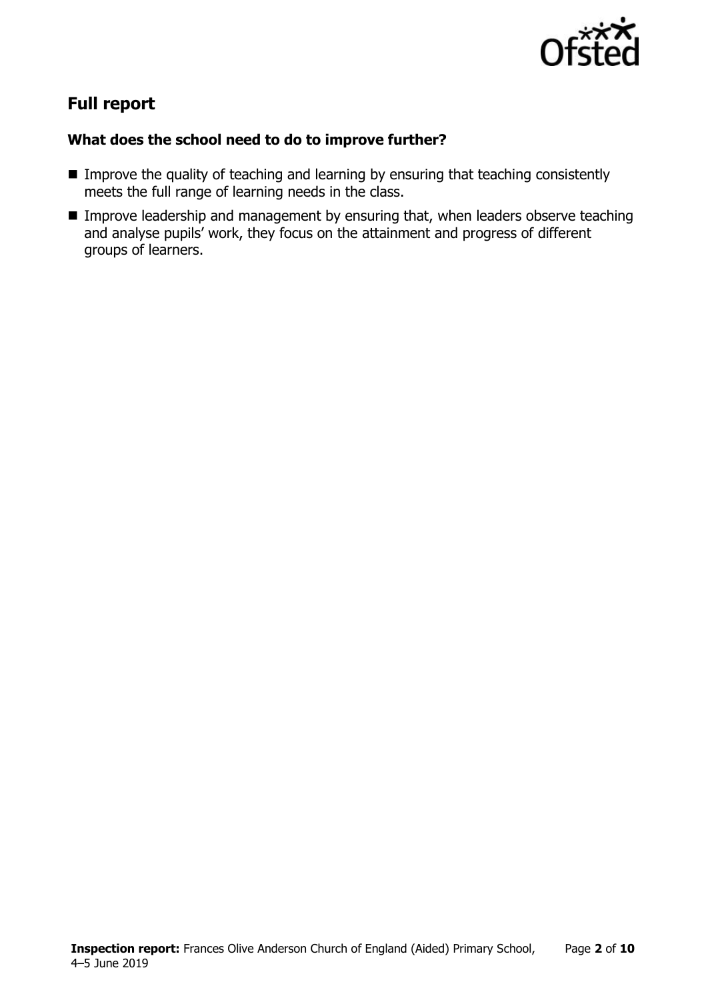

# **Full report**

### **What does the school need to do to improve further?**

- **IMPROVE the quality of teaching and learning by ensuring that teaching consistently** meets the full range of learning needs in the class.
- **IMPROVE LEADERSHIP and management by ensuring that, when leaders observe teaching** and analyse pupils' work, they focus on the attainment and progress of different groups of learners.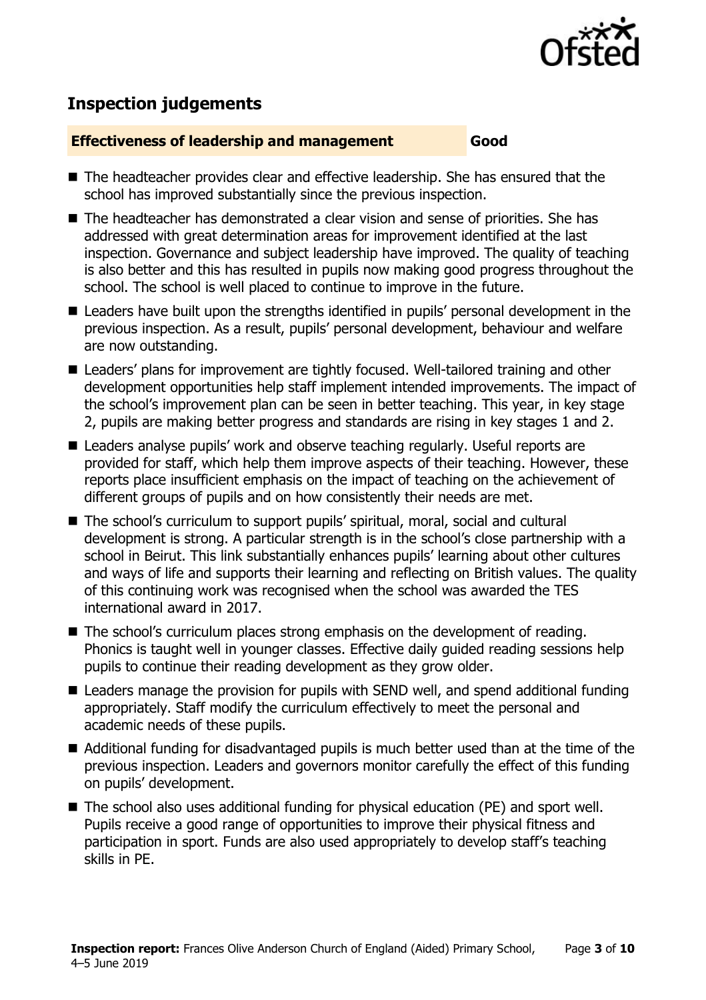

# **Inspection judgements**

### **Effectiveness of leadership and management Good**

- The headteacher provides clear and effective leadership. She has ensured that the school has improved substantially since the previous inspection.
- The headteacher has demonstrated a clear vision and sense of priorities. She has addressed with great determination areas for improvement identified at the last inspection. Governance and subject leadership have improved. The quality of teaching is also better and this has resulted in pupils now making good progress throughout the school. The school is well placed to continue to improve in the future.
- Leaders have built upon the strengths identified in pupils' personal development in the previous inspection. As a result, pupils' personal development, behaviour and welfare are now outstanding.
- Leaders' plans for improvement are tightly focused. Well-tailored training and other development opportunities help staff implement intended improvements. The impact of the school's improvement plan can be seen in better teaching. This year, in key stage 2, pupils are making better progress and standards are rising in key stages 1 and 2.
- Leaders analyse pupils' work and observe teaching regularly. Useful reports are provided for staff, which help them improve aspects of their teaching. However, these reports place insufficient emphasis on the impact of teaching on the achievement of different groups of pupils and on how consistently their needs are met.
- The school's curriculum to support pupils' spiritual, moral, social and cultural development is strong. A particular strength is in the school's close partnership with a school in Beirut. This link substantially enhances pupils' learning about other cultures and ways of life and supports their learning and reflecting on British values. The quality of this continuing work was recognised when the school was awarded the TES international award in 2017.
- The school's curriculum places strong emphasis on the development of reading. Phonics is taught well in younger classes. Effective daily guided reading sessions help pupils to continue their reading development as they grow older.
- Leaders manage the provision for pupils with SEND well, and spend additional funding appropriately. Staff modify the curriculum effectively to meet the personal and academic needs of these pupils.
- Additional funding for disadvantaged pupils is much better used than at the time of the previous inspection. Leaders and governors monitor carefully the effect of this funding on pupils' development.
- The school also uses additional funding for physical education (PE) and sport well. Pupils receive a good range of opportunities to improve their physical fitness and participation in sport. Funds are also used appropriately to develop staff's teaching skills in PE.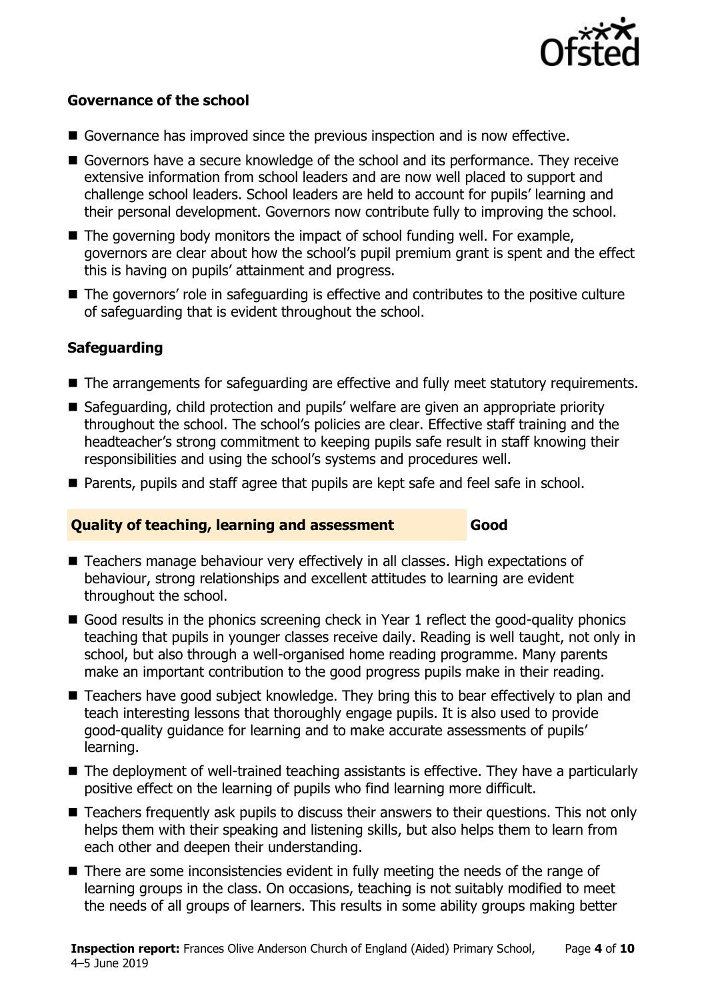

### **Governance of the school**

- Governance has improved since the previous inspection and is now effective.
- Governors have a secure knowledge of the school and its performance. They receive extensive information from school leaders and are now well placed to support and challenge school leaders. School leaders are held to account for pupils' learning and their personal development. Governors now contribute fully to improving the school.
- $\blacksquare$  The governing body monitors the impact of school funding well. For example, governors are clear about how the school's pupil premium grant is spent and the effect this is having on pupils' attainment and progress.
- The governors' role in safeguarding is effective and contributes to the positive culture of safeguarding that is evident throughout the school.

### **Safeguarding**

- The arrangements for safeguarding are effective and fully meet statutory requirements.
- Safeguarding, child protection and pupils' welfare are given an appropriate priority throughout the school. The school's policies are clear. Effective staff training and the headteacher's strong commitment to keeping pupils safe result in staff knowing their responsibilities and using the school's systems and procedures well.
- Parents, pupils and staff agree that pupils are kept safe and feel safe in school.

### **Quality of teaching, learning and assessment Good**

- Teachers manage behaviour very effectively in all classes. High expectations of behaviour, strong relationships and excellent attitudes to learning are evident throughout the school.
- Good results in the phonics screening check in Year 1 reflect the good-quality phonics teaching that pupils in younger classes receive daily. Reading is well taught, not only in school, but also through a well-organised home reading programme. Many parents make an important contribution to the good progress pupils make in their reading.
- Teachers have good subject knowledge. They bring this to bear effectively to plan and teach interesting lessons that thoroughly engage pupils. It is also used to provide good-quality guidance for learning and to make accurate assessments of pupils' learning.
- The deployment of well-trained teaching assistants is effective. They have a particularly positive effect on the learning of pupils who find learning more difficult.
- Teachers frequently ask pupils to discuss their answers to their questions. This not only helps them with their speaking and listening skills, but also helps them to learn from each other and deepen their understanding.
- There are some inconsistencies evident in fully meeting the needs of the range of learning groups in the class. On occasions, teaching is not suitably modified to meet the needs of all groups of learners. This results in some ability groups making better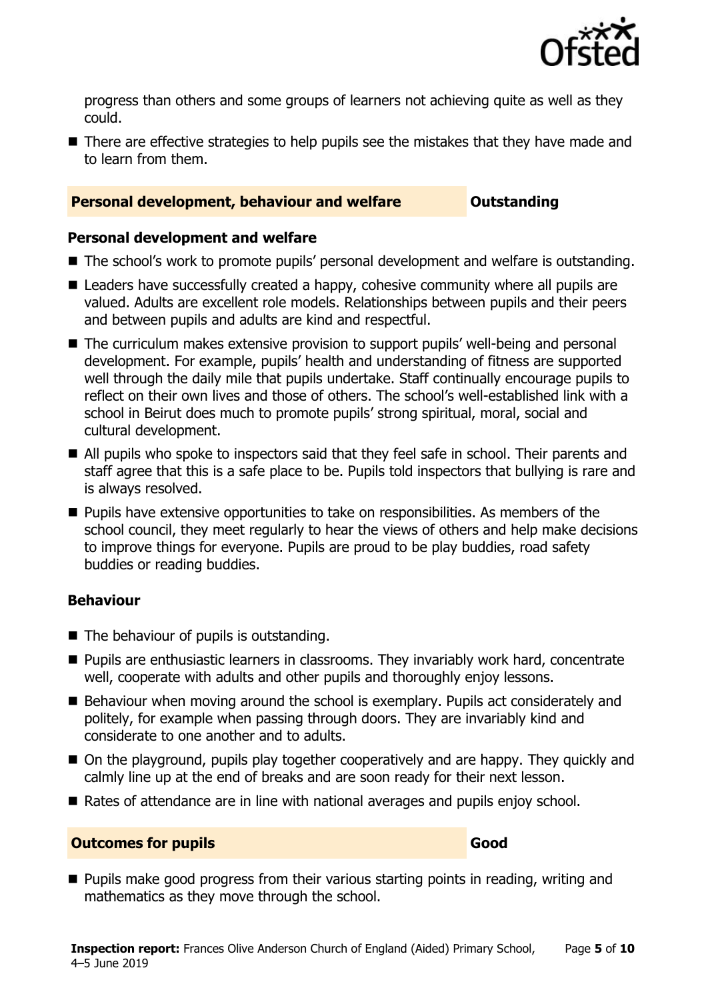

progress than others and some groups of learners not achieving quite as well as they could.

■ There are effective strategies to help pupils see the mistakes that they have made and to learn from them.

### **Personal development, behaviour and welfare <b>COUNG COULDER** Outstanding

### **Personal development and welfare**

- The school's work to promote pupils' personal development and welfare is outstanding.
- Leaders have successfully created a happy, cohesive community where all pupils are valued. Adults are excellent role models. Relationships between pupils and their peers and between pupils and adults are kind and respectful.
- The curriculum makes extensive provision to support pupils' well-being and personal development. For example, pupils' health and understanding of fitness are supported well through the daily mile that pupils undertake. Staff continually encourage pupils to reflect on their own lives and those of others. The school's well-established link with a school in Beirut does much to promote pupils' strong spiritual, moral, social and cultural development.
- All pupils who spoke to inspectors said that they feel safe in school. Their parents and staff agree that this is a safe place to be. Pupils told inspectors that bullying is rare and is always resolved.
- **Pupils have extensive opportunities to take on responsibilities. As members of the** school council, they meet regularly to hear the views of others and help make decisions to improve things for everyone. Pupils are proud to be play buddies, road safety buddies or reading buddies.

### **Behaviour**

- The behaviour of pupils is outstanding.
- **Pupils are enthusiastic learners in classrooms. They invariably work hard, concentrate** well, cooperate with adults and other pupils and thoroughly enjoy lessons.
- Behaviour when moving around the school is exemplary. Pupils act considerately and politely, for example when passing through doors. They are invariably kind and considerate to one another and to adults.
- On the playground, pupils play together cooperatively and are happy. They quickly and calmly line up at the end of breaks and are soon ready for their next lesson.
- Rates of attendance are in line with national averages and pupils enjoy school.

### **Outcomes for pupils Good**

**Pupils make good progress from their various starting points in reading, writing and** mathematics as they move through the school.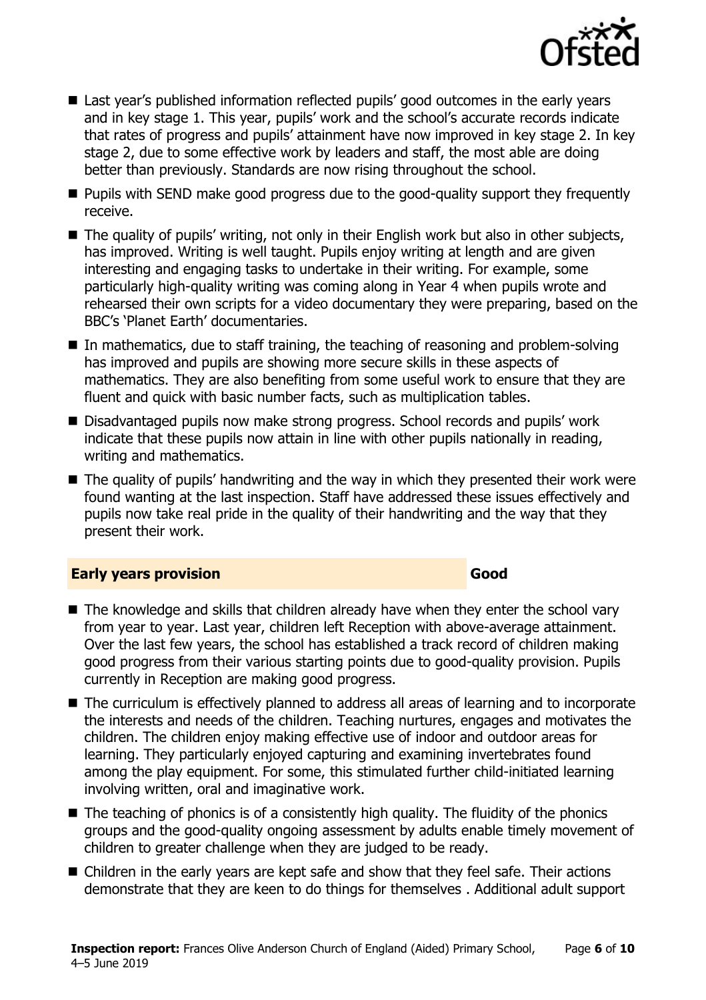

- Last year's published information reflected pupils' good outcomes in the early years and in key stage 1. This year, pupils' work and the school's accurate records indicate that rates of progress and pupils' attainment have now improved in key stage 2. In key stage 2, due to some effective work by leaders and staff, the most able are doing better than previously. Standards are now rising throughout the school.
- **Pupils with SEND make good progress due to the good-quality support they frequently** receive.
- The quality of pupils' writing, not only in their English work but also in other subjects, has improved. Writing is well taught. Pupils enjoy writing at length and are given interesting and engaging tasks to undertake in their writing. For example, some particularly high-quality writing was coming along in Year 4 when pupils wrote and rehearsed their own scripts for a video documentary they were preparing, based on the BBC's 'Planet Earth' documentaries.
- In mathematics, due to staff training, the teaching of reasoning and problem-solving has improved and pupils are showing more secure skills in these aspects of mathematics. They are also benefiting from some useful work to ensure that they are fluent and quick with basic number facts, such as multiplication tables.
- Disadvantaged pupils now make strong progress. School records and pupils' work indicate that these pupils now attain in line with other pupils nationally in reading, writing and mathematics.
- The quality of pupils' handwriting and the way in which they presented their work were found wanting at the last inspection. Staff have addressed these issues effectively and pupils now take real pride in the quality of their handwriting and the way that they present their work.

### **Early years provision Good**

- The knowledge and skills that children already have when they enter the school vary from year to year. Last year, children left Reception with above-average attainment. Over the last few years, the school has established a track record of children making good progress from their various starting points due to good-quality provision. Pupils currently in Reception are making good progress.
- The curriculum is effectively planned to address all areas of learning and to incorporate the interests and needs of the children. Teaching nurtures, engages and motivates the children. The children enjoy making effective use of indoor and outdoor areas for learning. They particularly enjoyed capturing and examining invertebrates found among the play equipment. For some, this stimulated further child-initiated learning involving written, oral and imaginative work.
- $\blacksquare$  The teaching of phonics is of a consistently high quality. The fluidity of the phonics groups and the good-quality ongoing assessment by adults enable timely movement of children to greater challenge when they are judged to be ready.
- Children in the early years are kept safe and show that they feel safe. Their actions demonstrate that they are keen to do things for themselves . Additional adult support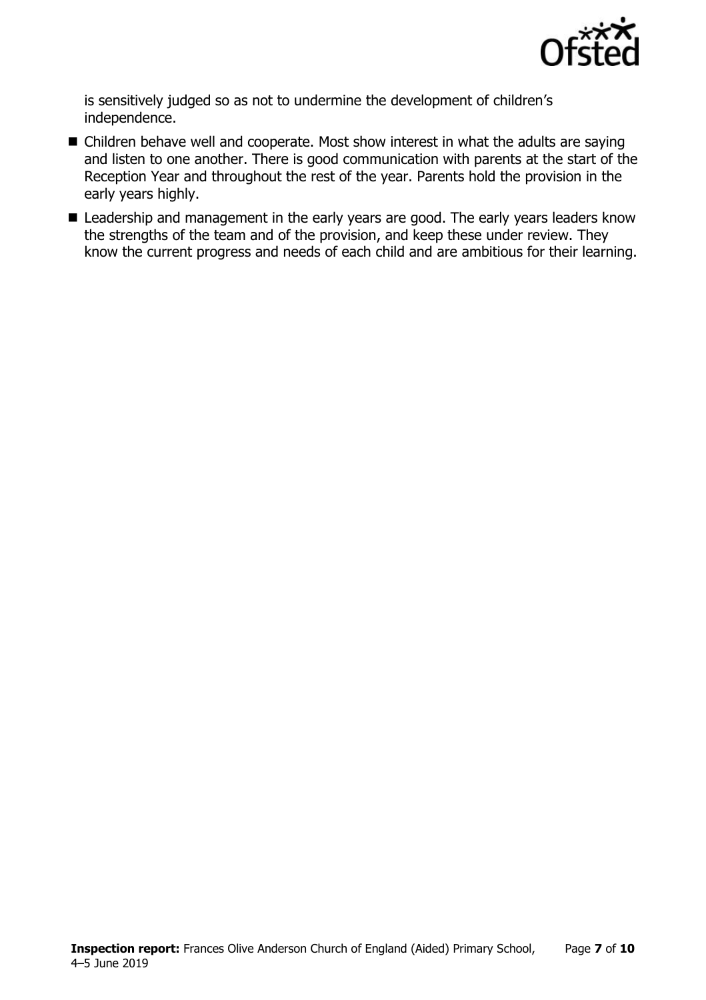

is sensitively judged so as not to undermine the development of children's independence.

- Children behave well and cooperate. Most show interest in what the adults are saying and listen to one another. There is good communication with parents at the start of the Reception Year and throughout the rest of the year. Parents hold the provision in the early years highly.
- Leadership and management in the early years are good. The early years leaders know the strengths of the team and of the provision, and keep these under review. They know the current progress and needs of each child and are ambitious for their learning.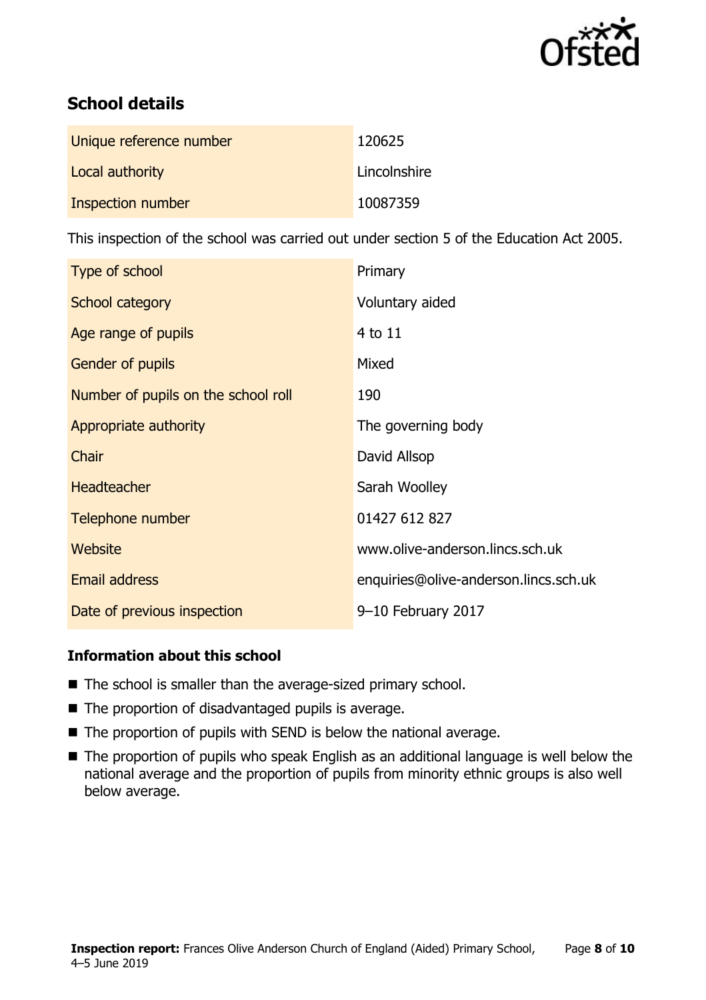

# **School details**

| Unique reference number | 120625       |
|-------------------------|--------------|
| Local authority         | Lincolnshire |
| Inspection number       | 10087359     |

This inspection of the school was carried out under section 5 of the Education Act 2005.

| Type of school                      | Primary                               |
|-------------------------------------|---------------------------------------|
| School category                     | Voluntary aided                       |
| Age range of pupils                 | 4 to 11                               |
| Gender of pupils                    | Mixed                                 |
| Number of pupils on the school roll | 190                                   |
| Appropriate authority               | The governing body                    |
| Chair                               | David Allsop                          |
| <b>Headteacher</b>                  | Sarah Woolley                         |
| Telephone number                    | 01427 612 827                         |
| Website                             | www.olive-anderson.lincs.sch.uk       |
| <b>Email address</b>                | enquiries@olive-anderson.lincs.sch.uk |
| Date of previous inspection         | 9-10 February 2017                    |

### **Information about this school**

- The school is smaller than the average-sized primary school.
- $\blacksquare$  The proportion of disadvantaged pupils is average.
- The proportion of pupils with SEND is below the national average.
- The proportion of pupils who speak English as an additional language is well below the national average and the proportion of pupils from minority ethnic groups is also well below average.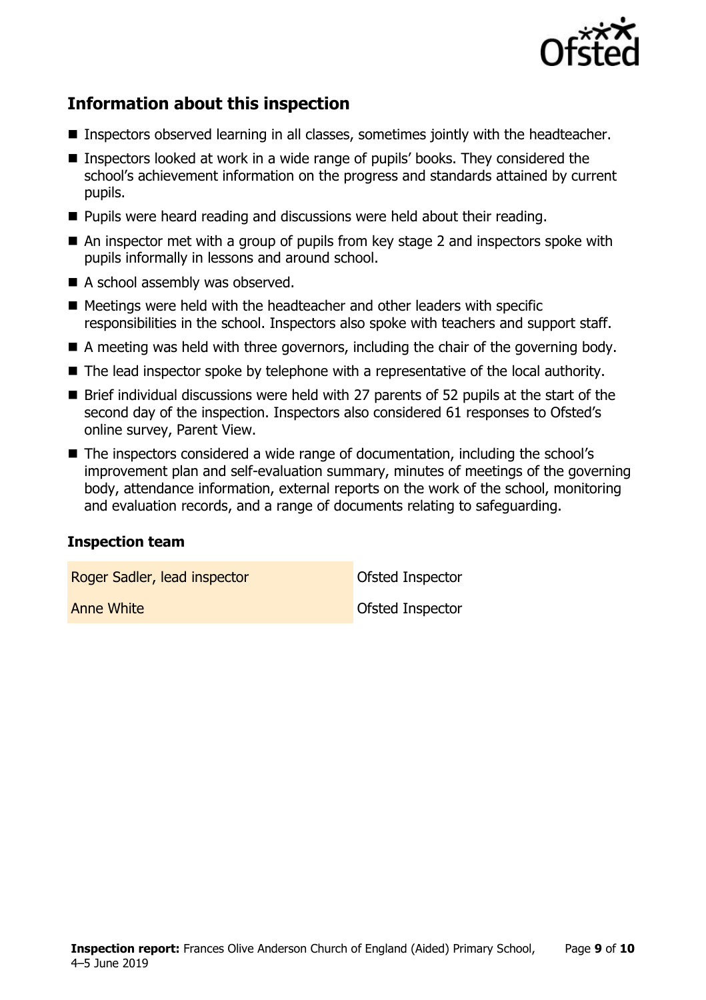

# **Information about this inspection**

- Inspectors observed learning in all classes, sometimes jointly with the headteacher.
- Inspectors looked at work in a wide range of pupils' books. They considered the school's achievement information on the progress and standards attained by current pupils.
- **Pupils were heard reading and discussions were held about their reading.**
- An inspector met with a group of pupils from key stage 2 and inspectors spoke with pupils informally in lessons and around school.
- A school assembly was observed.
- $\blacksquare$  Meetings were held with the headteacher and other leaders with specific responsibilities in the school. Inspectors also spoke with teachers and support staff.
- A meeting was held with three governors, including the chair of the governing body.
- The lead inspector spoke by telephone with a representative of the local authority.
- Brief individual discussions were held with 27 parents of 52 pupils at the start of the second day of the inspection. Inspectors also considered 61 responses to Ofsted's online survey, Parent View.
- The inspectors considered a wide range of documentation, including the school's improvement plan and self-evaluation summary, minutes of meetings of the governing body, attendance information, external reports on the work of the school, monitoring and evaluation records, and a range of documents relating to safeguarding.

### **Inspection team**

Roger Sadler, lead inspector **Constanting Constanting Constanting Constanting Constanting Constanting Constanting Constanting Constanting Constanting Constanting Constanting Constanting Constanting Constanting Constanting Anne White Contract Contract Contract Contract Contract Contract Contract Contract Contract Contract Contract Contract Contract Contract Contract Contract Contract Contract Contract Contract Contract Contract Contract Con**